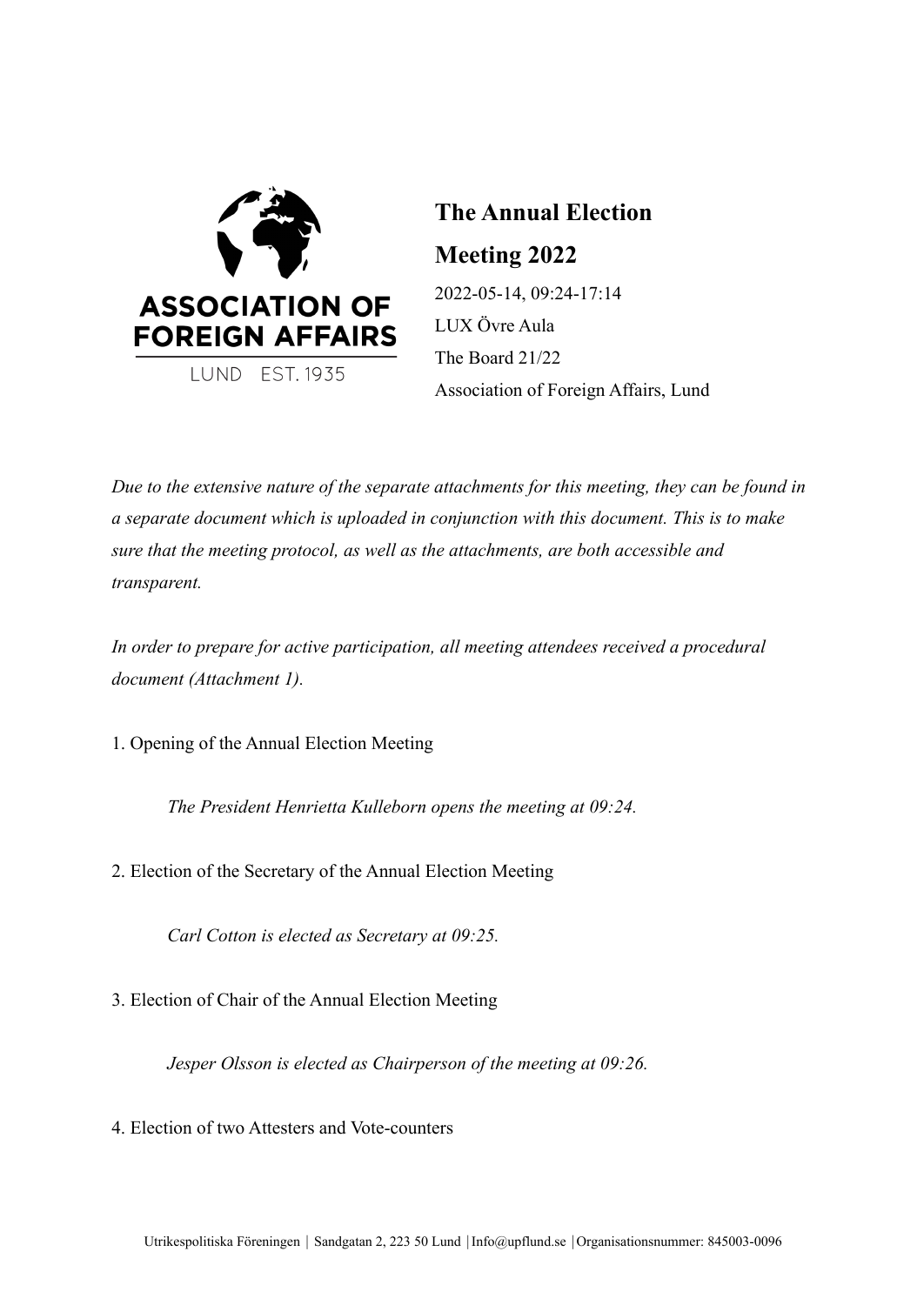

**The Annual Election Meeting 2022** 2022-05-14, 09:24-17:14 LUX Övre Aula The Board 21/22 Association of Foreign Affairs, Lund

*Due to the extensive nature of the separate attachments for this meeting, they can be found in a separate document which is uploaded in conjunction with this document. This is to make sure that the meeting protocol, as well as the attachments, are both accessible and transparent.*

*In order to prepare for active participation, all meeting attendees received a procedural document (Attachment 1).*

1. Opening of the Annual Election Meeting

*The President Henrietta Kulleborn opens the meeting at 09:24.*

2. Election of the Secretary of the Annual Election Meeting

*Carl Cotton is elected as Secretary at 09:25.*

3. Election of Chair of the Annual Election Meeting

*Jesper Olsson is elected as Chairperson of the meeting at 09:26.*

4. Election of two Attesters and Vote-counters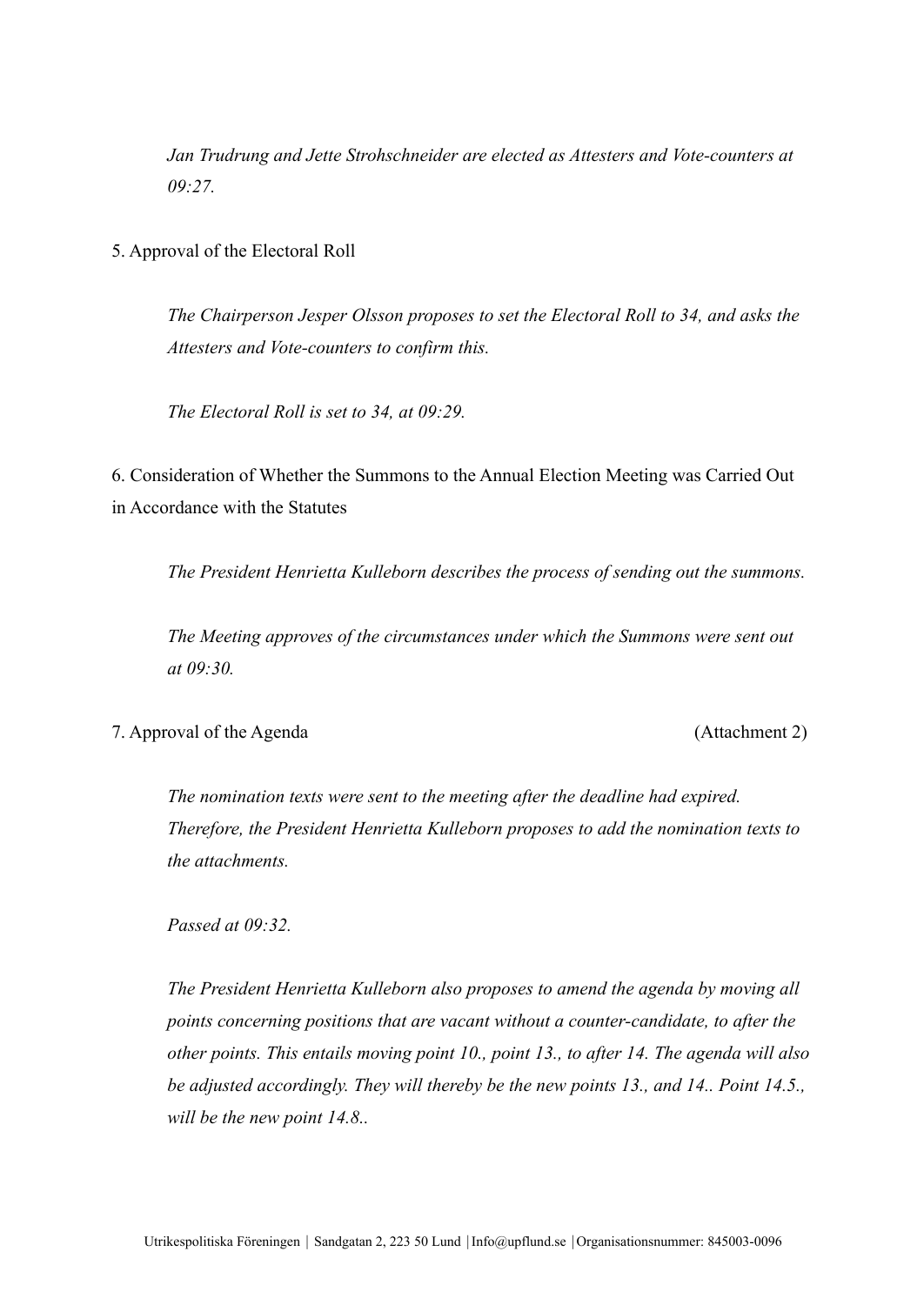*Jan Trudrung and Jette Strohschneider are elected as Attesters and Vote-counters at 09:27.*

5. Approval of the Electoral Roll

*The Chairperson Jesper Olsson proposes to set the Electoral Roll to 34, and asks the Attesters and Vote-counters to confirm this.*

*The Electoral Roll is set to 34, at 09:29.*

6. Consideration of Whether the Summons to the Annual Election Meeting was Carried Out in Accordance with the Statutes

*The President Henrietta Kulleborn describes the process of sending out the summons.*

*The Meeting approves of the circumstances under which the Summons were sent out at 09:30.*

7. Approval of the Agenda (Attachment 2)

*The nomination texts were sent to the meeting after the deadline had expired. Therefore, the President Henrietta Kulleborn proposes to add the nomination texts to the attachments.*

*Passed at 09:32.*

*The President Henrietta Kulleborn also proposes to amend the agenda by moving all points concerning positions that are vacant without a counter-candidate, to after the other points. This entails moving point 10., point 13., to after 14. The agenda will also be adjusted accordingly. They will thereby be the new points 13., and 14.. Point 14.5., will be the new point 14.8..*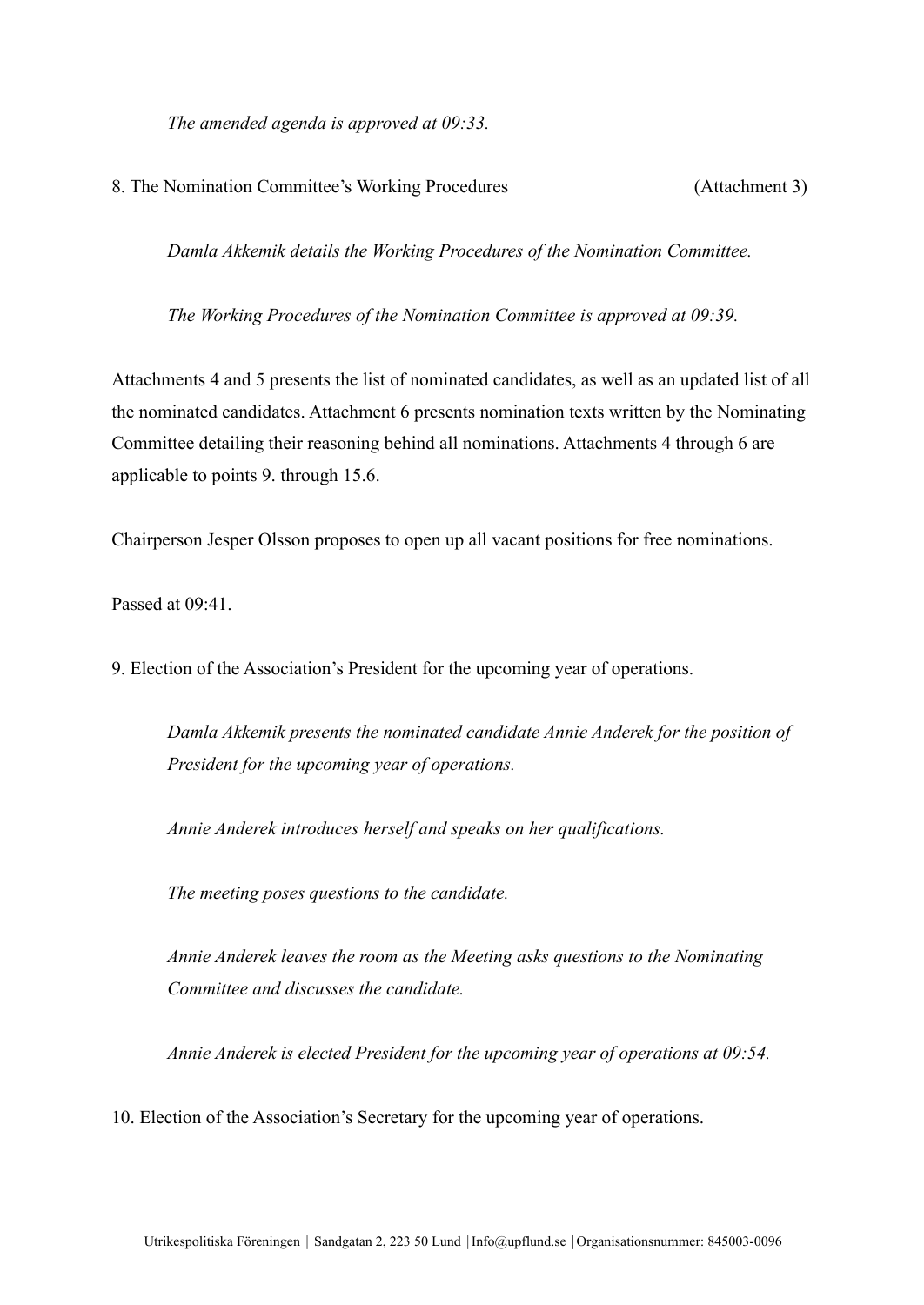*The amended agenda is approved at 09:33.*

# 8. The Nomination Committee's Working Procedures (Attachment 3)

*Damla Akkemik details the Working Procedures of the Nomination Committee.*

*The Working Procedures of the Nomination Committee is approved at 09:39.*

Attachments 4 and 5 presents the list of nominated candidates, as well as an updated list of all the nominated candidates. Attachment 6 presents nomination texts written by the Nominating Committee detailing their reasoning behind all nominations. Attachments 4 through 6 are applicable to points 9. through 15.6.

Chairperson Jesper Olsson proposes to open up all vacant positions for free nominations.

Passed at 09:41.

9. Election of the Association's President for the upcoming year of operations.

*Damla Akkemik presents the nominated candidate Annie Anderek for the position of President for the upcoming year of operations.*

*Annie Anderek introduces herself and speaks on her qualifications.*

*The meeting poses questions to the candidate.*

*Annie Anderek leaves the room as the Meeting asks questions to the Nominating Committee and discusses the candidate.*

*Annie Anderek is elected President for the upcoming year of operations at 09:54.*

10. Election of the Association's Secretary for the upcoming year of operations.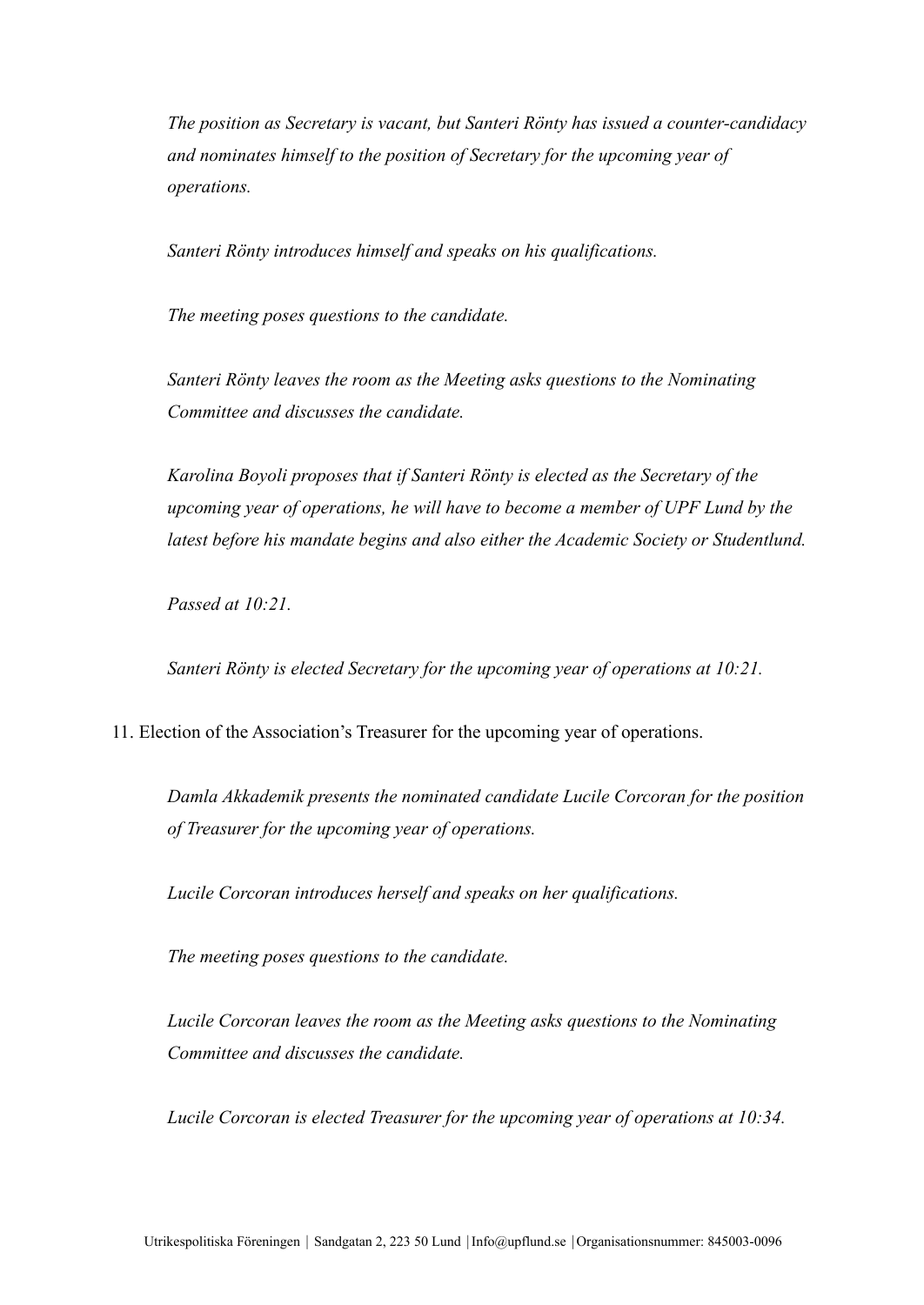*The position as Secretary is vacant, but Santeri Rönty has issued a counter-candidacy and nominates himself to the position of Secretary for the upcoming year of operations.*

*Santeri Rönty introduces himself and speaks on his qualifications.*

*The meeting poses questions to the candidate.*

*Santeri Rönty leaves the room as the Meeting asks questions to the Nominating Committee and discusses the candidate.*

*Karolina Boyoli proposes that if Santeri Rönty is elected as the Secretary of the upcoming year of operations, he will have to become a member of UPF Lund by the latest before his mandate begins and also either the Academic Society or Studentlund.*

*Passed at 10:21.*

*Santeri Rönty is elected Secretary for the upcoming year of operations at 10:21.*

11. Election of the Association's Treasurer for the upcoming year of operations.

*Damla Akkademik presents the nominated candidate Lucile Corcoran for the position of Treasurer for the upcoming year of operations.*

*Lucile Corcoran introduces herself and speaks on her qualifications.*

*The meeting poses questions to the candidate.*

*Lucile Corcoran leaves the room as the Meeting asks questions to the Nominating Committee and discusses the candidate.*

*Lucile Corcoran is elected Treasurer for the upcoming year of operations at 10:34.*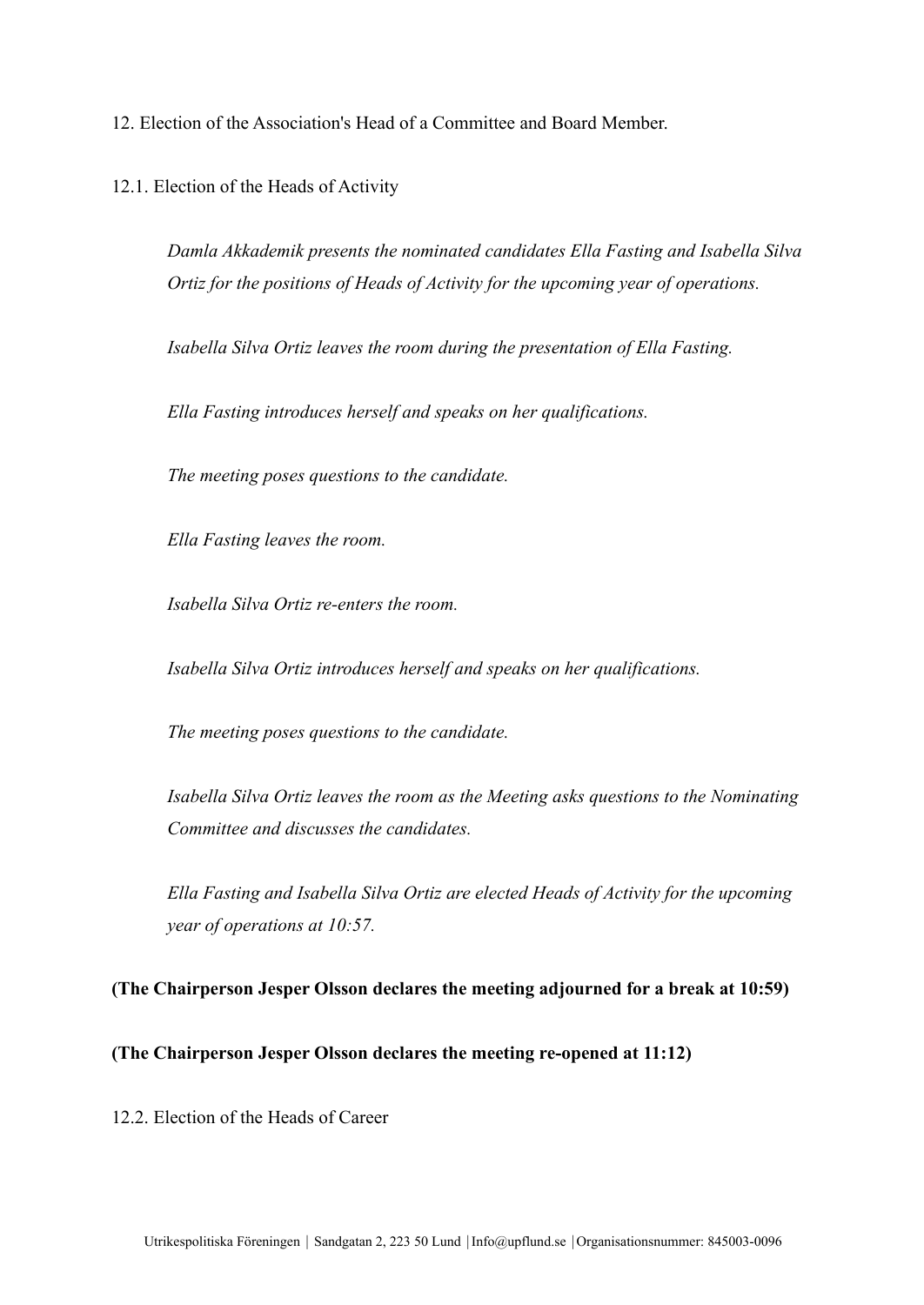12. Election of the Association's Head of a Committee and Board Member.

12.1. Election of the Heads of Activity

*Damla Akkademik presents the nominated candidates Ella Fasting and Isabella Silva Ortiz for the positions of Heads of Activity for the upcoming year of operations.*

*Isabella Silva Ortiz leaves the room during the presentation of Ella Fasting.*

*Ella Fasting introduces herself and speaks on her qualifications.*

*The meeting poses questions to the candidate.*

*Ella Fasting leaves the room.*

*Isabella Silva Ortiz re-enters the room.*

*Isabella Silva Ortiz introduces herself and speaks on her qualifications.*

*The meeting poses questions to the candidate.*

*Isabella Silva Ortiz leaves the room as the Meeting asks questions to the Nominating Committee and discusses the candidates.*

*Ella Fasting and Isabella Silva Ortiz are elected Heads of Activity for the upcoming year of operations at 10:57.*

#### **(The Chairperson Jesper Olsson declares the meeting adjourned for a break at 10:59)**

# **(The Chairperson Jesper Olsson declares the meeting re-opened at 11:12)**

12.2. Election of the Heads of Career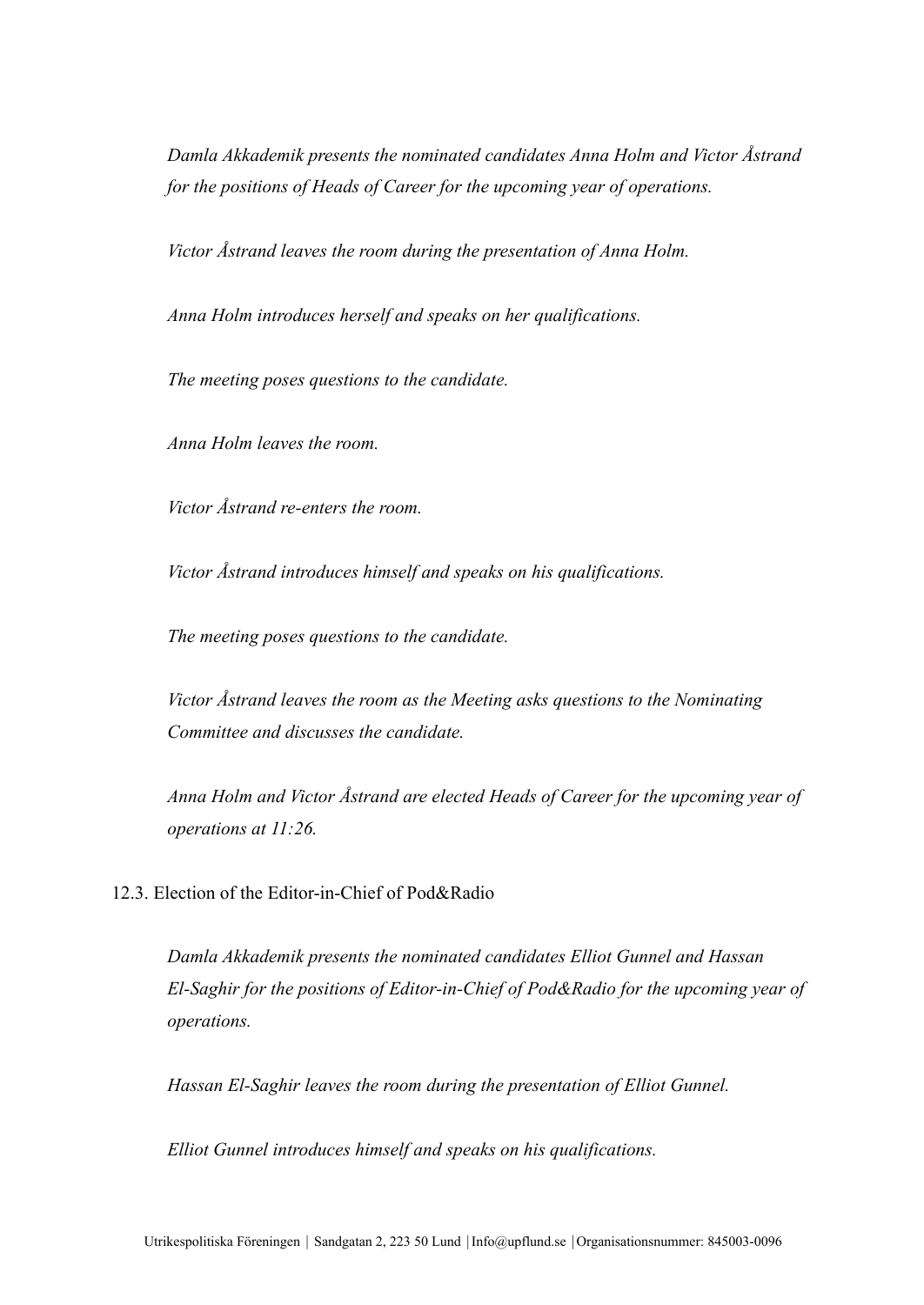*Damla Akkademik presents the nominated candidates Anna Holm and Victor Åstrand for the positions of Heads of Career for the upcoming year of operations.*

*Victor Åstrand leaves the room during the presentation of Anna Holm.*

*Anna Holm introduces herself and speaks on her qualifications.*

*The meeting poses questions to the candidate.*

*Anna Holm leaves the room.*

*Victor Åstrand re-enters the room.*

*Victor Åstrand introduces himself and speaks on his qualifications.*

*The meeting poses questions to the candidate.*

*Victor Åstrand leaves the room as the Meeting asks questions to the Nominating Committee and discusses the candidate.*

*Anna Holm and Victor Åstrand are elected Heads of Career for the upcoming year of operations at 11:26.*

12.3. Election of the Editor-in-Chief of Pod&Radio

*Damla Akkademik presents the nominated candidates Elliot Gunnel and Hassan El-Saghir for the positions of Editor-in-Chief of Pod&Radio for the upcoming year of operations.*

*Hassan El-Saghir leaves the room during the presentation of Elliot Gunnel.*

*Elliot Gunnel introduces himself and speaks on his qualifications.*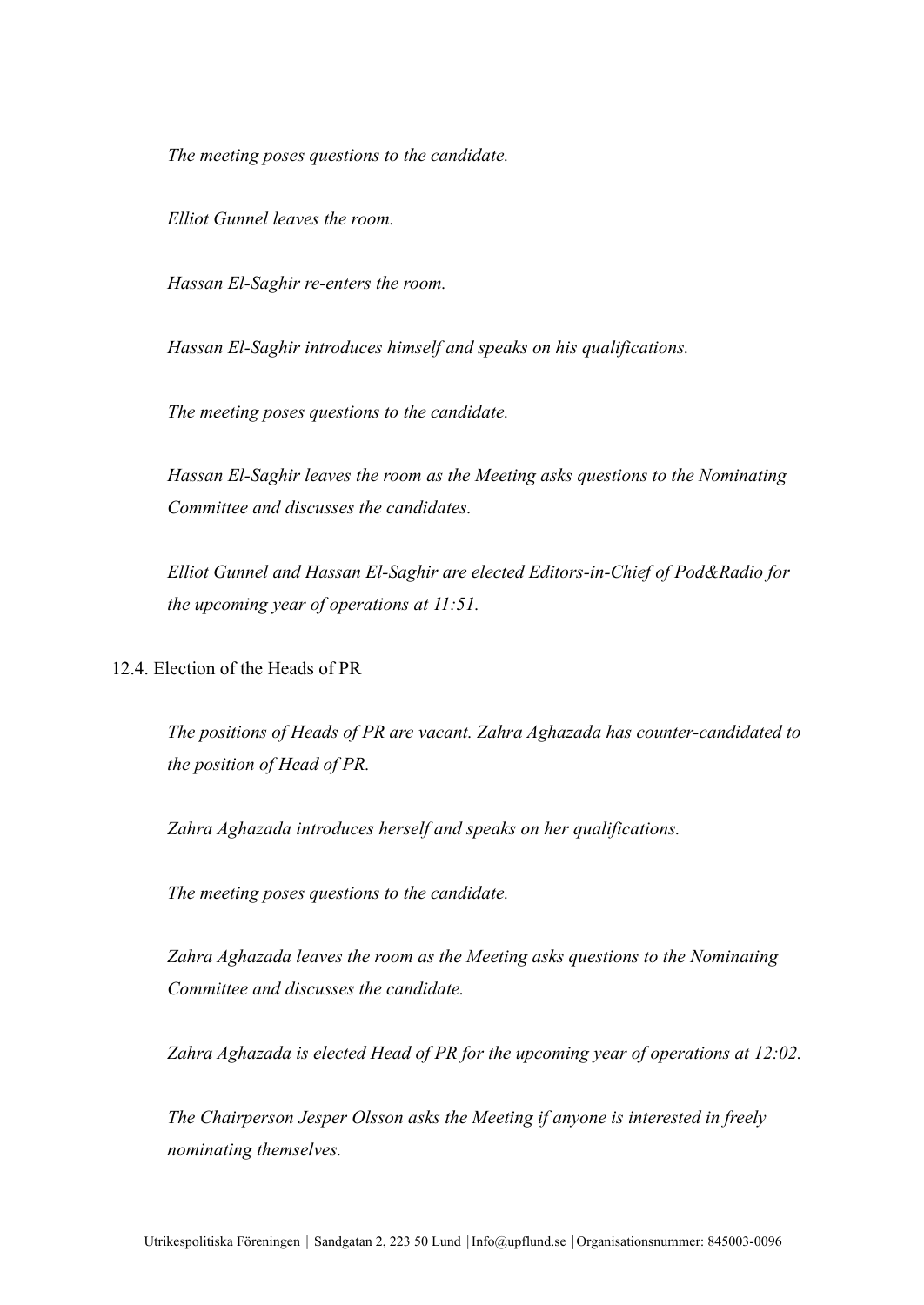*The meeting poses questions to the candidate.*

*Elliot Gunnel leaves the room.*

*Hassan El-Saghir re-enters the room.*

*Hassan El-Saghir introduces himself and speaks on his qualifications.*

*The meeting poses questions to the candidate.*

*Hassan El-Saghir leaves the room as the Meeting asks questions to the Nominating Committee and discusses the candidates.*

*Elliot Gunnel and Hassan El-Saghir are elected Editors-in-Chief of Pod&Radio for the upcoming year of operations at 11:51.*

12.4. Election of the Heads of PR

*The positions of Heads of PR are vacant. Zahra Aghazada has counter-candidated to the position of Head of PR.*

*Zahra Aghazada introduces herself and speaks on her qualifications.*

*The meeting poses questions to the candidate.*

*Zahra Aghazada leaves the room as the Meeting asks questions to the Nominating Committee and discusses the candidate.*

*Zahra Aghazada is elected Head of PR for the upcoming year of operations at 12:02.*

*The Chairperson Jesper Olsson asks the Meeting if anyone is interested in freely nominating themselves.*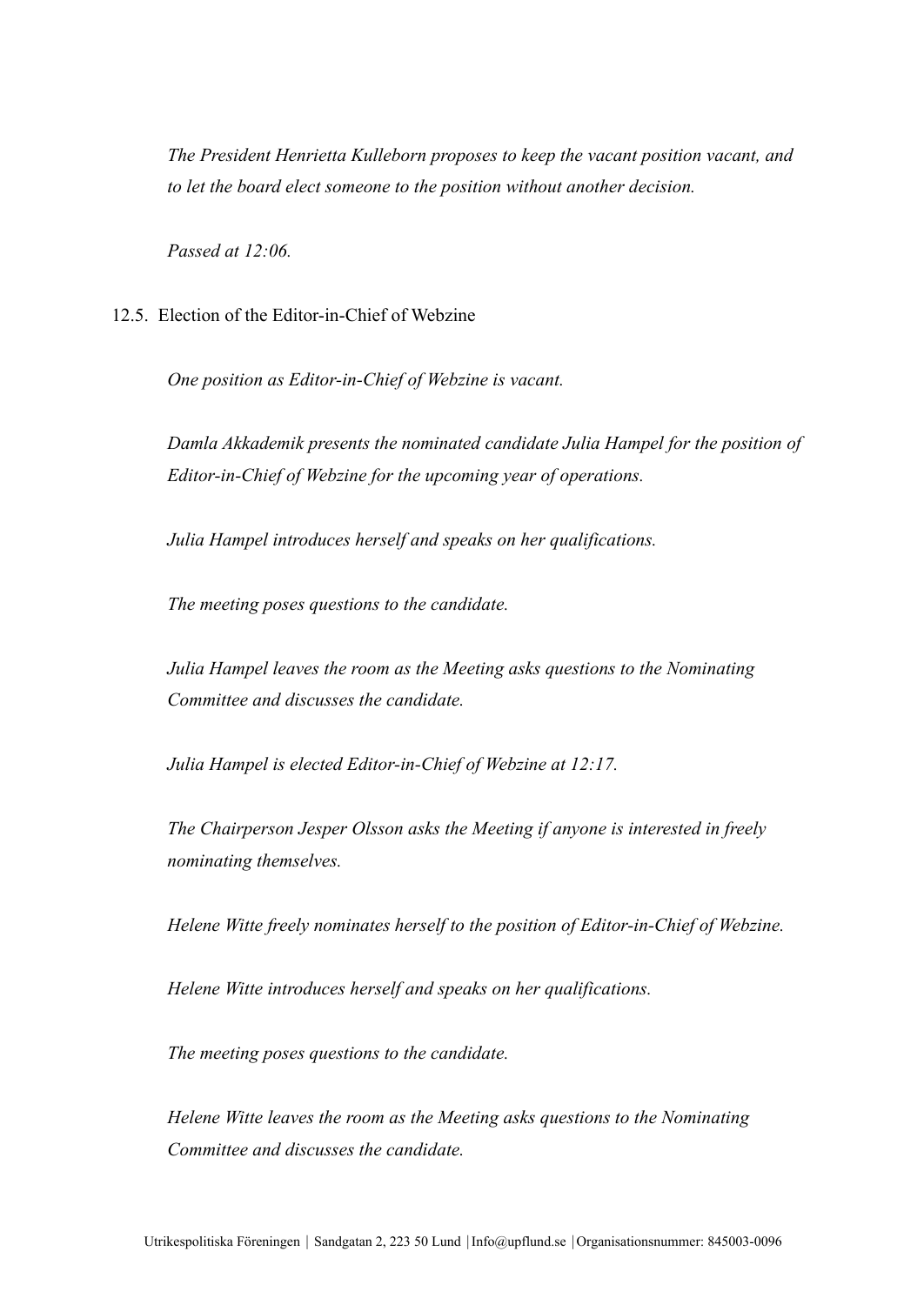*The President Henrietta Kulleborn proposes to keep the vacant position vacant, and to let the board elect someone to the position without another decision.*

*Passed at 12:06.*

12.5. Election of the Editor-in-Chief of Webzine

*One position as Editor-in-Chief of Webzine is vacant.*

*Damla Akkademik presents the nominated candidate Julia Hampel for the position of Editor-in-Chief of Webzine for the upcoming year of operations.*

*Julia Hampel introduces herself and speaks on her qualifications.*

*The meeting poses questions to the candidate.*

*Julia Hampel leaves the room as the Meeting asks questions to the Nominating Committee and discusses the candidate.*

*Julia Hampel is elected Editor-in-Chief of Webzine at 12:17.*

*The Chairperson Jesper Olsson asks the Meeting if anyone is interested in freely nominating themselves.*

*Helene Witte freely nominates herself to the position of Editor-in-Chief of Webzine.*

*Helene Witte introduces herself and speaks on her qualifications.*

*The meeting poses questions to the candidate.*

*Helene Witte leaves the room as the Meeting asks questions to the Nominating Committee and discusses the candidate.*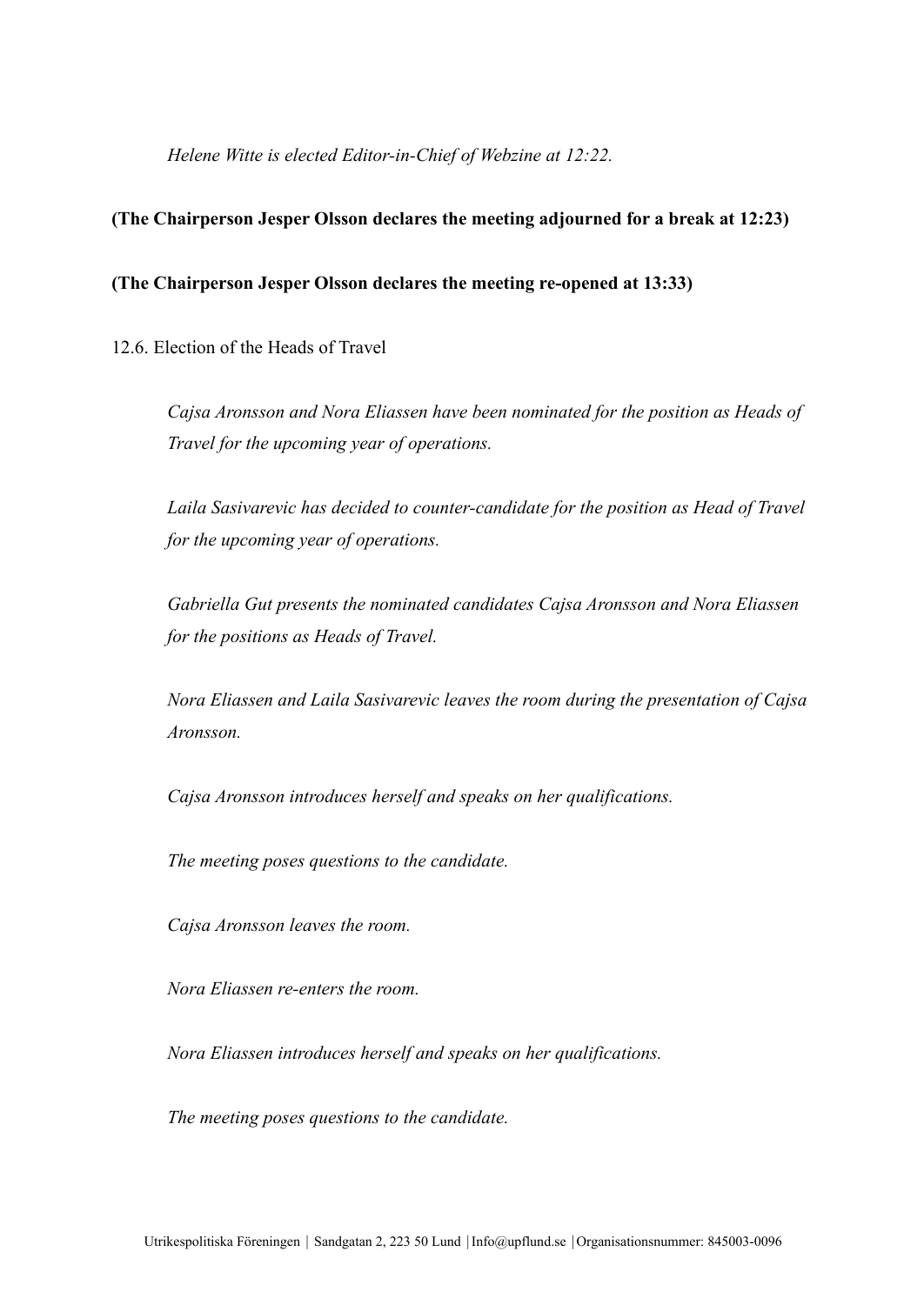*Helene Witte is elected Editor-in-Chief of Webzine at 12:22.*

## **(The Chairperson Jesper Olsson declares the meeting adjourned for a break at 12:23)**

## **(The Chairperson Jesper Olsson declares the meeting re-opened at 13:33)**

12.6. Election of the Heads of Travel

*Cajsa Aronsson and Nora Eliassen have been nominated for the position as Heads of Travel for the upcoming year of operations.*

*Laila Sasivarevic has decided to counter-candidate for the position as Head of Travel for the upcoming year of operations.*

*Gabriella Gut presents the nominated candidates Cajsa Aronsson and Nora Eliassen for the positions as Heads of Travel.*

*Nora Eliassen and Laila Sasivarevic leaves the room during the presentation of Cajsa Aronsson.*

*Cajsa Aronsson introduces herself and speaks on her qualifications.*

*The meeting poses questions to the candidate.*

*Cajsa Aronsson leaves the room.*

*Nora Eliassen re-enters the room.*

*Nora Eliassen introduces herself and speaks on her qualifications.*

*The meeting poses questions to the candidate.*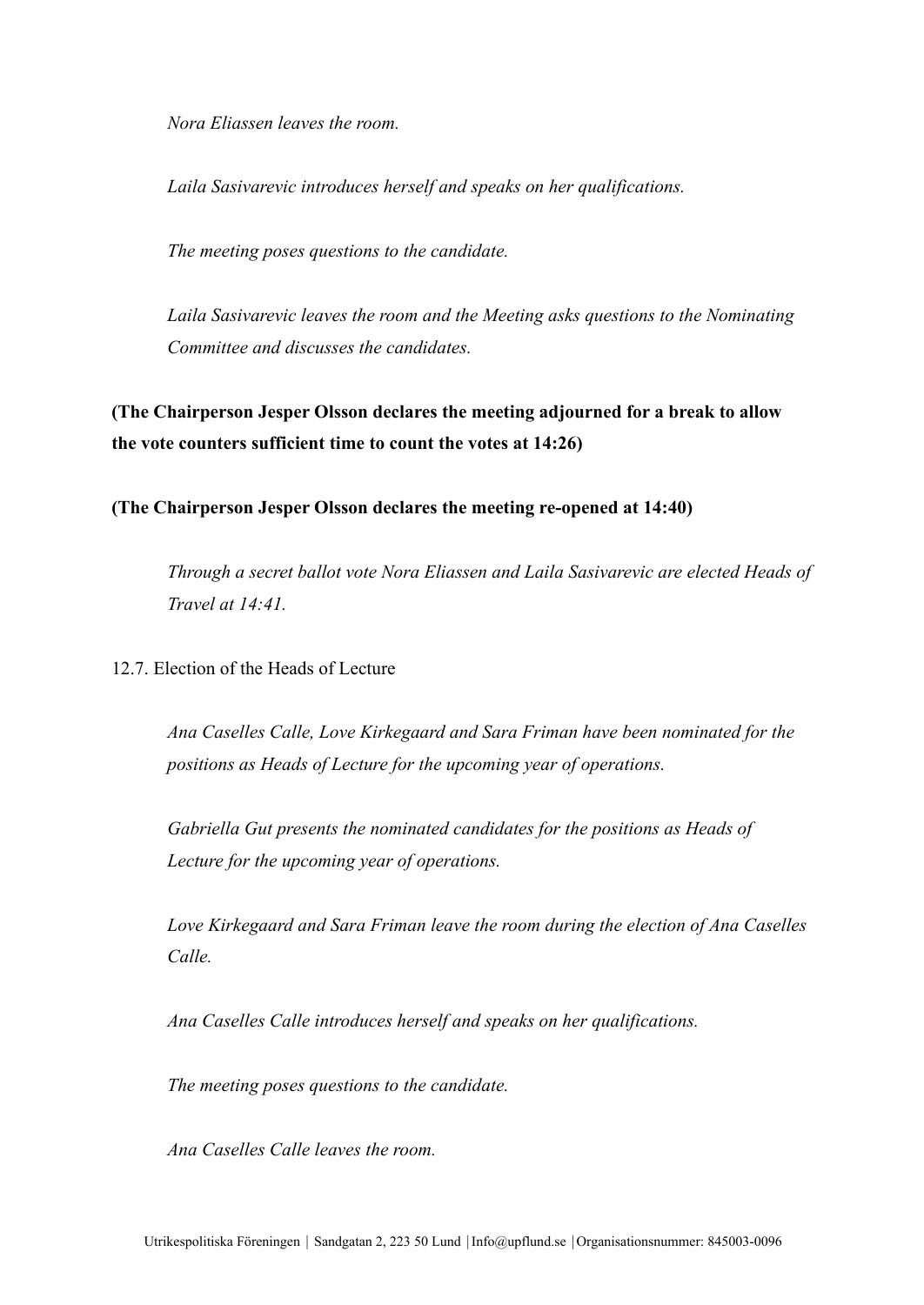*Nora Eliassen leaves the room.*

*Laila Sasivarevic introduces herself and speaks on her qualifications.*

*The meeting poses questions to the candidate.*

*Laila Sasivarevic leaves the room and the Meeting asks questions to the Nominating Committee and discusses the candidates.*

**(The Chairperson Jesper Olsson declares the meeting adjourned for a break to allow the vote counters sufficient time to count the votes at 14:26)**

**(The Chairperson Jesper Olsson declares the meeting re-opened at 14:40)**

*Through a secret ballot vote Nora Eliassen and Laila Sasivarevic are elected Heads of Travel at 14:41.*

12.7. Election of the Heads of Lecture

*Ana Caselles Calle, Love Kirkegaard and Sara Friman have been nominated for the positions as Heads of Lecture for the upcoming year of operations.*

*Gabriella Gut presents the nominated candidates for the positions as Heads of Lecture for the upcoming year of operations.*

*Love Kirkegaard and Sara Friman leave the room during the election of Ana Caselles Calle.*

*Ana Caselles Calle introduces herself and speaks on her qualifications.*

*The meeting poses questions to the candidate.*

*Ana Caselles Calle leaves the room.*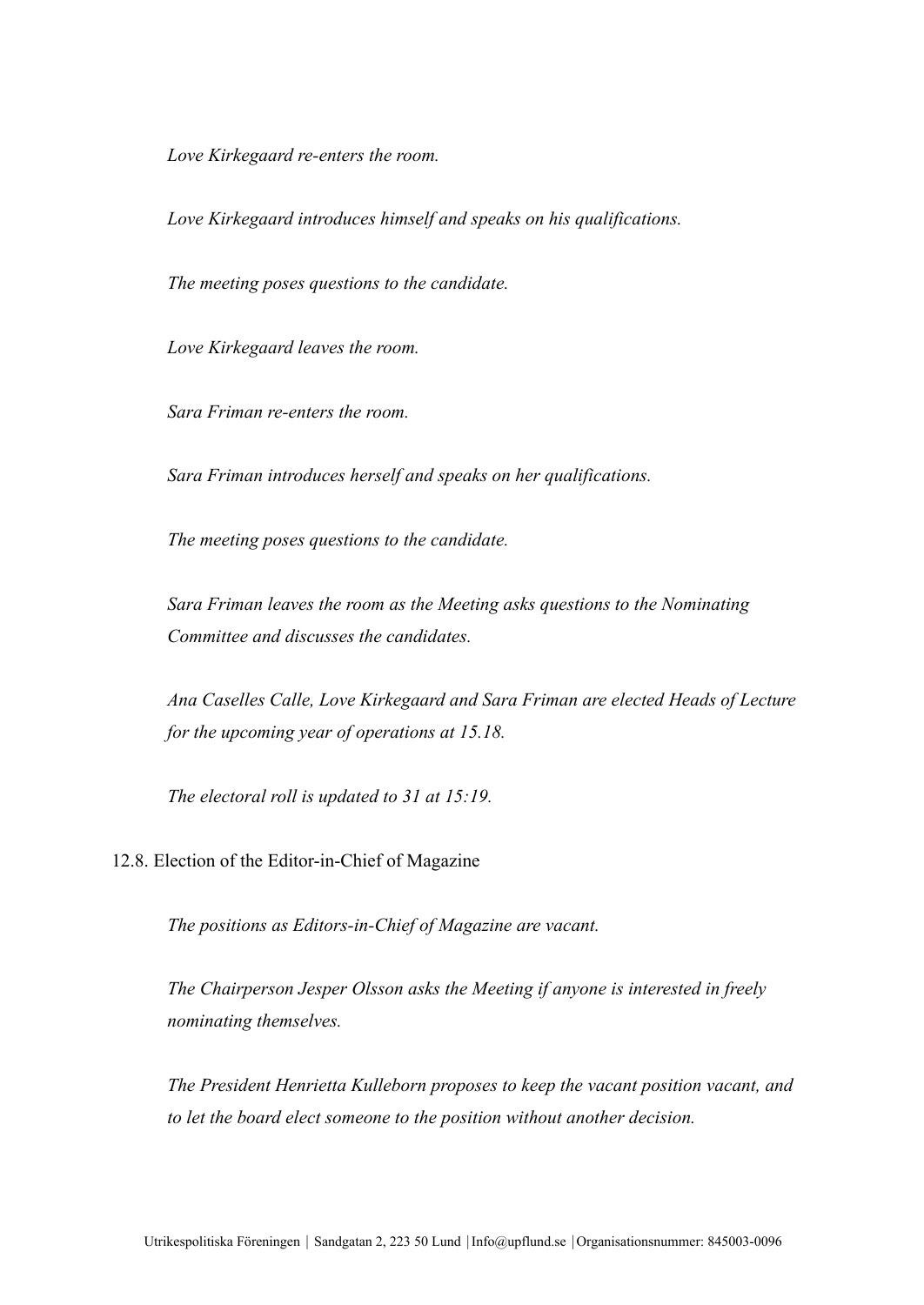*Love Kirkegaard re-enters the room.*

*Love Kirkegaard introduces himself and speaks on his qualifications.*

*The meeting poses questions to the candidate.*

*Love Kirkegaard leaves the room.*

*Sara Friman re-enters the room.*

*Sara Friman introduces herself and speaks on her qualifications.*

*The meeting poses questions to the candidate.*

*Sara Friman leaves the room as the Meeting asks questions to the Nominating Committee and discusses the candidates.*

*Ana Caselles Calle, Love Kirkegaard and Sara Friman are elected Heads of Lecture for the upcoming year of operations at 15.18.*

*The electoral roll is updated to 31 at 15:19.*

12.8. Election of the Editor-in-Chief of Magazine

*The positions as Editors-in-Chief of Magazine are vacant.*

*The Chairperson Jesper Olsson asks the Meeting if anyone is interested in freely nominating themselves.*

*The President Henrietta Kulleborn proposes to keep the vacant position vacant, and to let the board elect someone to the position without another decision.*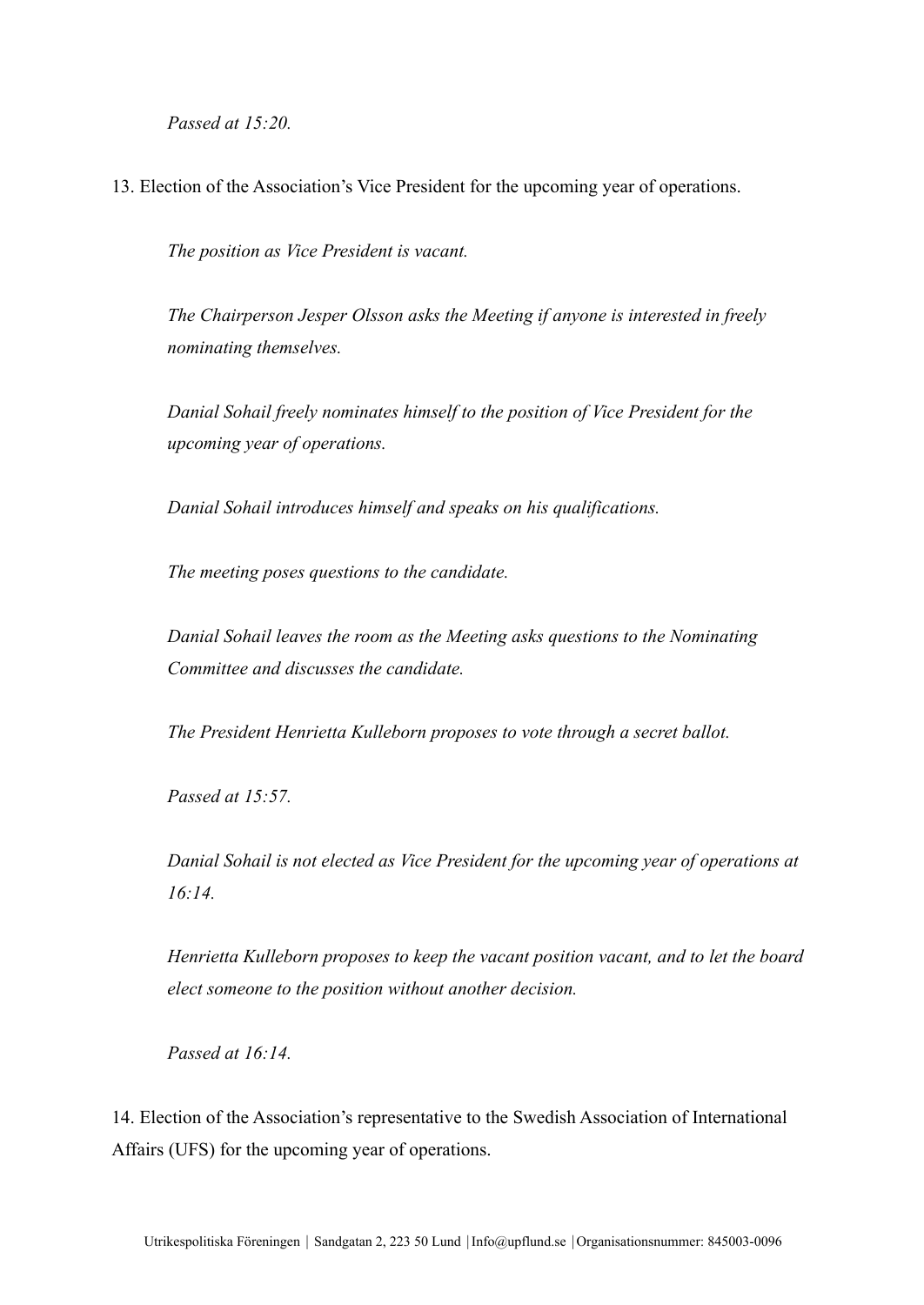*Passed at 15:20.*

13. Election of the Association's Vice President for the upcoming year of operations.

*The position as Vice President is vacant.*

*The Chairperson Jesper Olsson asks the Meeting if anyone is interested in freely nominating themselves.*

*Danial Sohail freely nominates himself to the position of Vice President for the upcoming year of operations.*

*Danial Sohail introduces himself and speaks on his qualifications.*

*The meeting poses questions to the candidate.*

*Danial Sohail leaves the room as the Meeting asks questions to the Nominating Committee and discusses the candidate.*

*The President Henrietta Kulleborn proposes to vote through a secret ballot.*

*Passed at 15:57.*

*Danial Sohail is not elected as Vice President for the upcoming year of operations at 16:14.*

*Henrietta Kulleborn proposes to keep the vacant position vacant, and to let the board elect someone to the position without another decision.*

*Passed at 16:14.*

14. Election of the Association's representative to the Swedish Association of International Affairs (UFS) for the upcoming year of operations.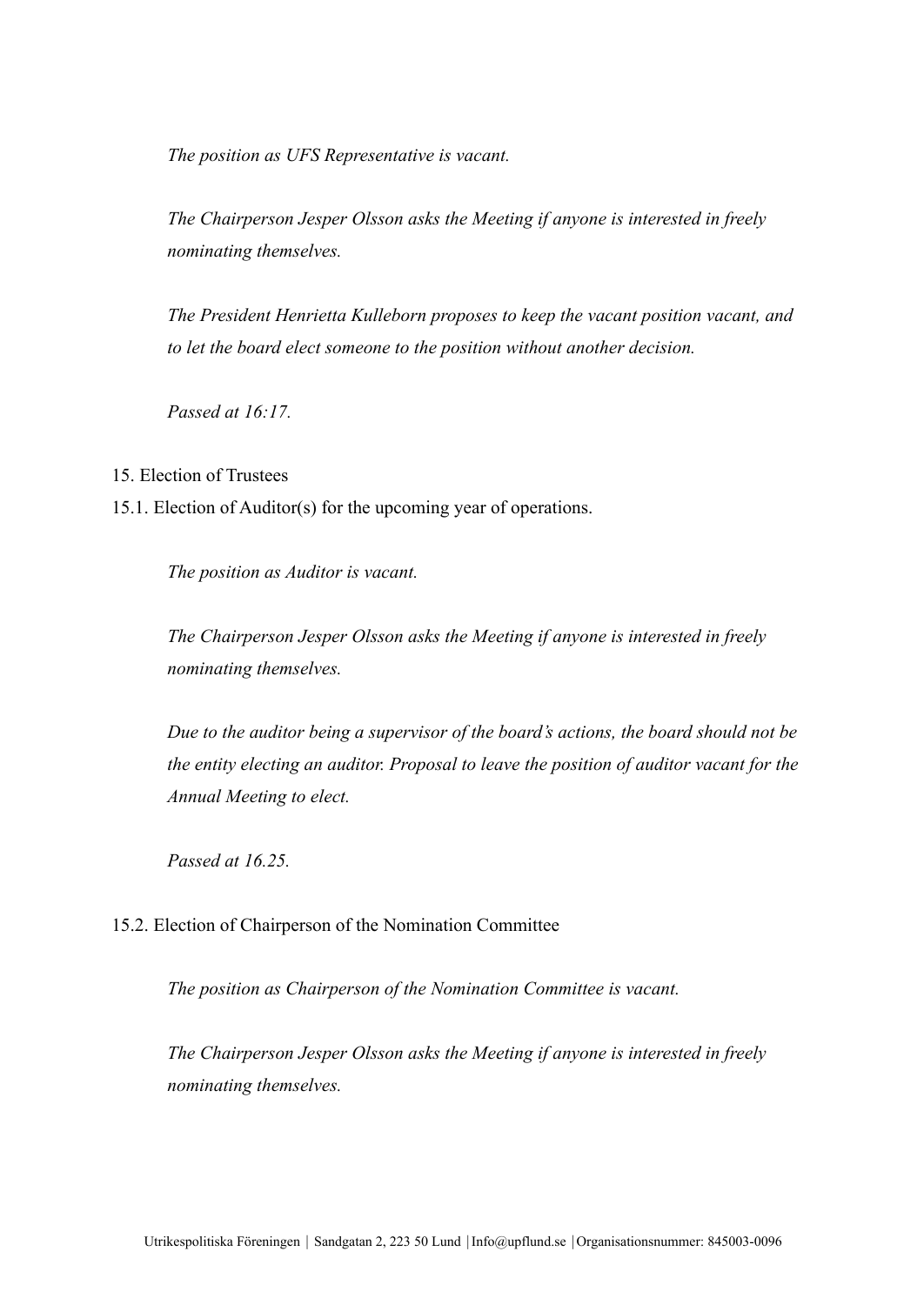*The position as UFS Representative is vacant.*

*The Chairperson Jesper Olsson asks the Meeting if anyone is interested in freely nominating themselves.*

*The President Henrietta Kulleborn proposes to keep the vacant position vacant, and to let the board elect someone to the position without another decision.*

*Passed at 16:17.*

15. Election of Trustees

15.1. Election of Auditor(s) for the upcoming year of operations.

*The position as Auditor is vacant.*

*The Chairperson Jesper Olsson asks the Meeting if anyone is interested in freely nominating themselves.*

*Due to the auditor being a supervisor of the board's actions, the board should not be the entity electing an auditor. Proposal to leave the position of auditor vacant for the Annual Meeting to elect.*

*Passed at 16.25.*

15.2. Election of Chairperson of the Nomination Committee

*The position as Chairperson of the Nomination Committee is vacant.*

*The Chairperson Jesper Olsson asks the Meeting if anyone is interested in freely nominating themselves.*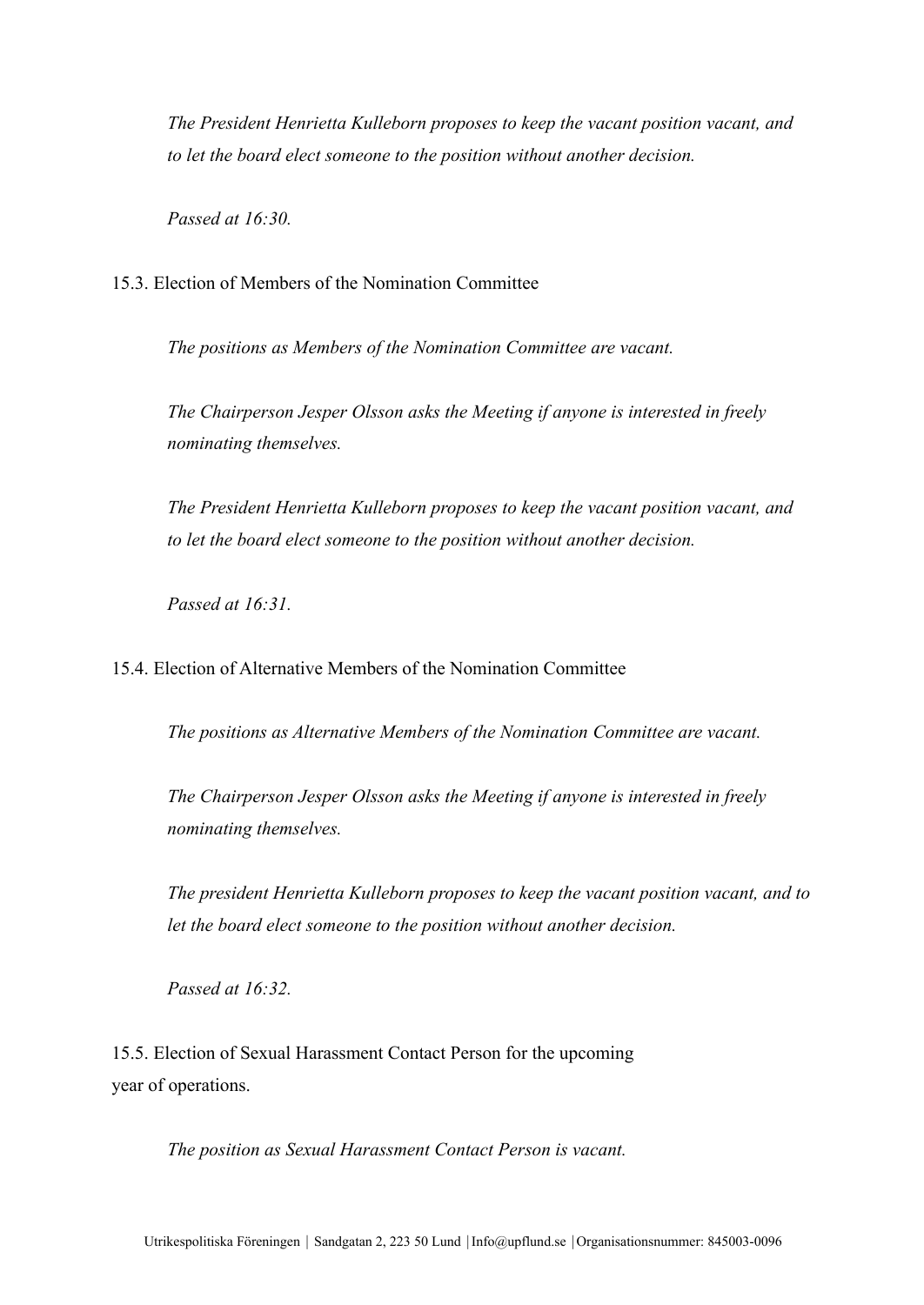*The President Henrietta Kulleborn proposes to keep the vacant position vacant, and to let the board elect someone to the position without another decision.*

*Passed at 16:30.*

15.3. Election of Members of the Nomination Committee

*The positions as Members of the Nomination Committee are vacant.*

*The Chairperson Jesper Olsson asks the Meeting if anyone is interested in freely nominating themselves.*

*The President Henrietta Kulleborn proposes to keep the vacant position vacant, and to let the board elect someone to the position without another decision.*

*Passed at 16:31.*

15.4. Election of Alternative Members of the Nomination Committee

*The positions as Alternative Members of the Nomination Committee are vacant.*

*The Chairperson Jesper Olsson asks the Meeting if anyone is interested in freely nominating themselves.*

*The president Henrietta Kulleborn proposes to keep the vacant position vacant, and to let the board elect someone to the position without another decision.*

*Passed at 16:32.*

15.5. Election of Sexual Harassment Contact Person for the upcoming year of operations.

*The position as Sexual Harassment Contact Person is vacant.*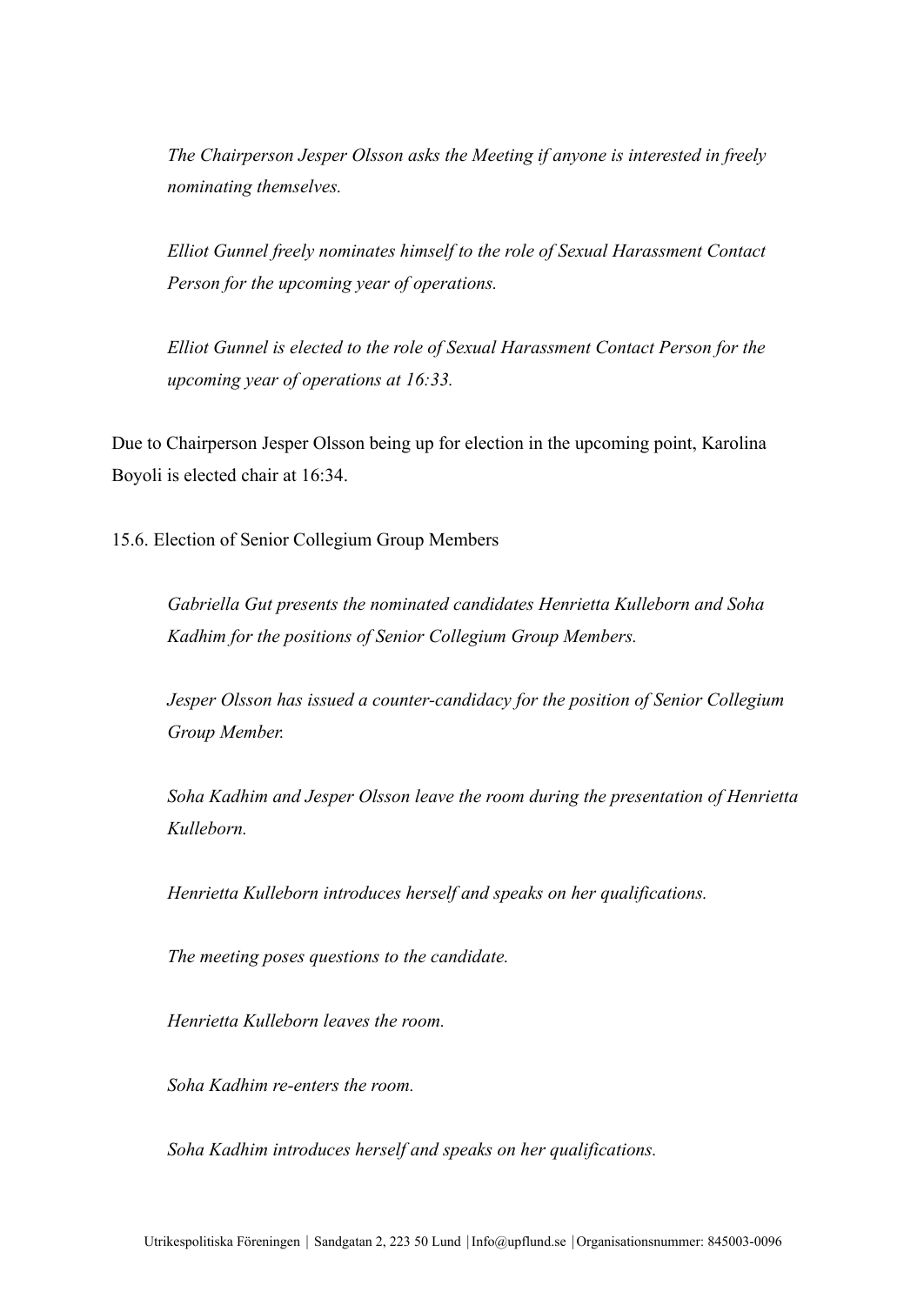*The Chairperson Jesper Olsson asks the Meeting if anyone is interested in freely nominating themselves.*

*Elliot Gunnel freely nominates himself to the role of Sexual Harassment Contact Person for the upcoming year of operations.*

*Elliot Gunnel is elected to the role of Sexual Harassment Contact Person for the upcoming year of operations at 16:33.*

Due to Chairperson Jesper Olsson being up for election in the upcoming point, Karolina Boyoli is elected chair at 16:34.

15.6. Election of Senior Collegium Group Members

*Gabriella Gut presents the nominated candidates Henrietta Kulleborn and Soha Kadhim for the positions of Senior Collegium Group Members.*

*Jesper Olsson has issued a counter-candidacy for the position of Senior Collegium Group Member.*

*Soha Kadhim and Jesper Olsson leave the room during the presentation of Henrietta Kulleborn.*

*Henrietta Kulleborn introduces herself and speaks on her qualifications.*

*The meeting poses questions to the candidate.*

*Henrietta Kulleborn leaves the room.*

*Soha Kadhim re-enters the room.*

*Soha Kadhim introduces herself and speaks on her qualifications.*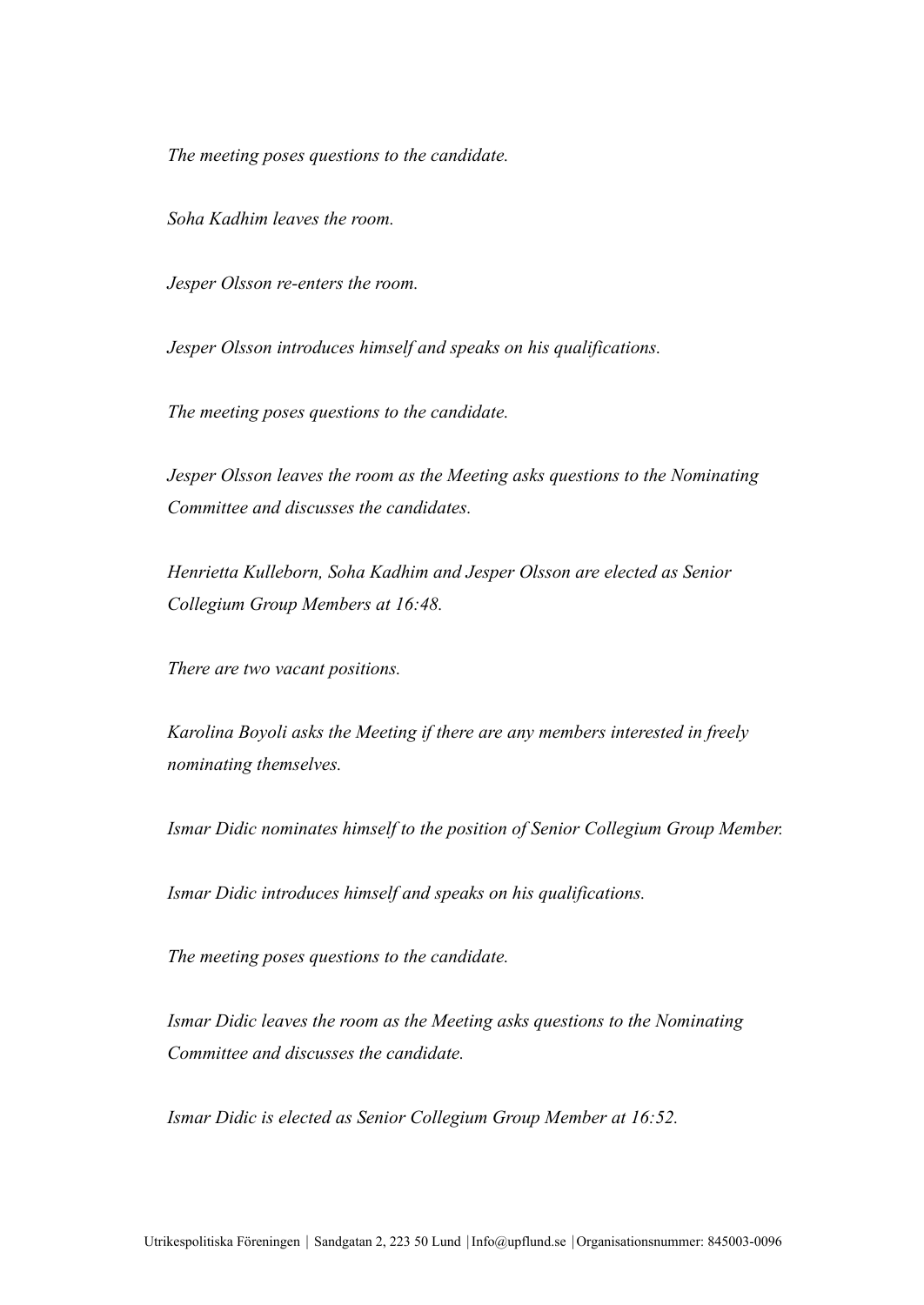*The meeting poses questions to the candidate.*

*Soha Kadhim leaves the room.*

*Jesper Olsson re-enters the room.*

*Jesper Olsson introduces himself and speaks on his qualifications.*

*The meeting poses questions to the candidate.*

*Jesper Olsson leaves the room as the Meeting asks questions to the Nominating Committee and discusses the candidates.*

*Henrietta Kulleborn, Soha Kadhim and Jesper Olsson are elected as Senior Collegium Group Members at 16:48.*

*There are two vacant positions.*

*Karolina Boyoli asks the Meeting if there are any members interested in freely nominating themselves.*

*Ismar Didic nominates himself to the position of Senior Collegium Group Member.*

*Ismar Didic introduces himself and speaks on his qualifications.*

*The meeting poses questions to the candidate.*

*Ismar Didic leaves the room as the Meeting asks questions to the Nominating Committee and discusses the candidate.*

*Ismar Didic is elected as Senior Collegium Group Member at 16:52.*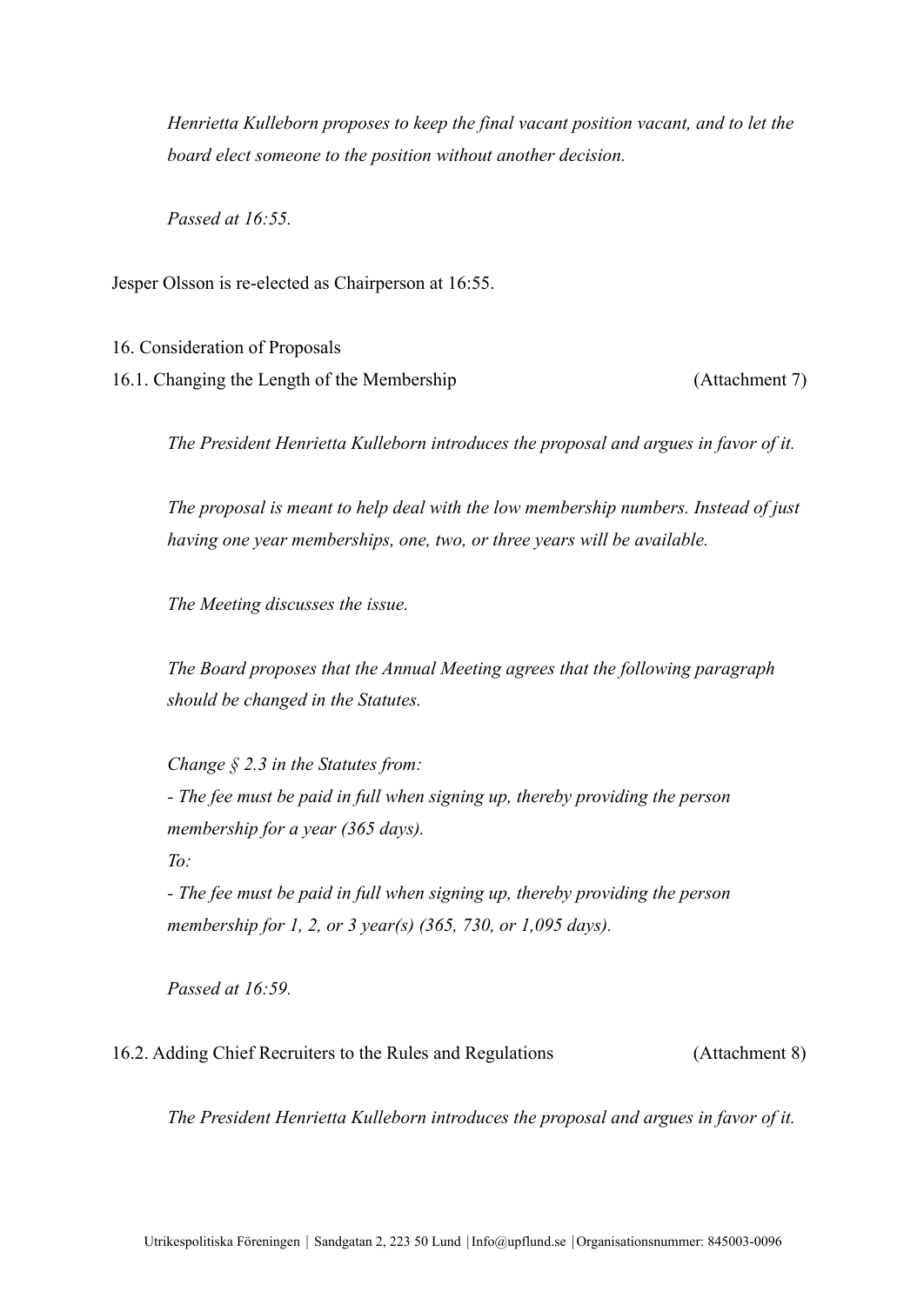*Henrietta Kulleborn proposes to keep the final vacant position vacant, and to let the board elect someone to the position without another decision.*

*Passed at 16:55.*

Jesper Olsson is re-elected as Chairperson at 16:55.

16. Consideration of Proposals

16.1. Changing the Length of the Membership (Attachment 7)

*The President Henrietta Kulleborn introduces the proposal and argues in favor of it.*

*The proposal is meant to help deal with the low membership numbers. Instead of just having one year memberships, one, two, or three years will be available.*

*The Meeting discusses the issue.*

*The Board proposes that the Annual Meeting agrees that the following paragraph should be changed in the Statutes.*

*Change § 2.3 in the Statutes from:*

*- The fee must be paid in full when signing up, thereby providing the person membership for a year (365 days).*

*To:*

*- The fee must be paid in full when signing up, thereby providing the person membership for 1, 2, or 3 year(s) (365, 730, or 1,095 days).*

*Passed at 16:59.*

16.2. Adding Chief Recruiters to the Rules and Regulations (Attachment 8)

*The President Henrietta Kulleborn introduces the proposal and argues in favor of it.*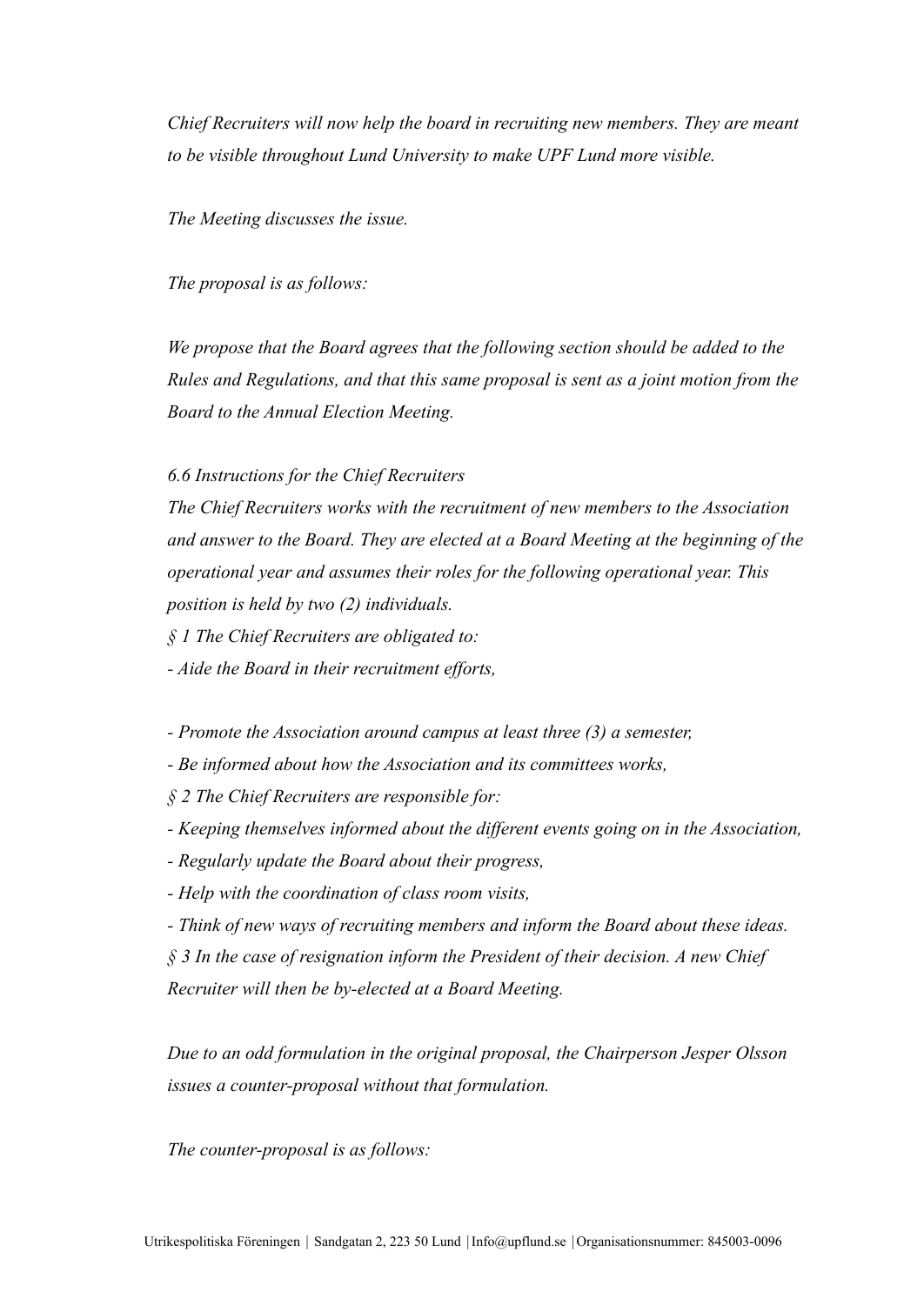*Chief Recruiters will now help the board in recruiting new members. They are meant to be visible throughout Lund University to make UPF Lund more visible.*

*The Meeting discusses the issue.*

*The proposal is as follows:*

*We propose that the Board agrees that the following section should be added to the Rules and Regulations, and that this same proposal is sent as a joint motion from the Board to the Annual Election Meeting.*

*6.6 Instructions for the Chief Recruiters*

*The Chief Recruiters works with the recruitment of new members to the Association and answer to the Board. They are elected at a Board Meeting at the beginning of the operational year and assumes their roles for the following operational year. This position is held by two (2) individuals.*

*§ 1 The Chief Recruiters are obligated to:*

*- Aide the Board in their recruitment efforts,*

*- Promote the Association around campus at least three (3) a semester,*

*- Be informed about how the Association and its committees works,*

*§ 2 The Chief Recruiters are responsible for:*

*- Keeping themselves informed about the different events going on in the Association,*

*- Regularly update the Board about their progress,*

*- Help with the coordination of class room visits,*

*- Think of new ways of recruiting members and inform the Board about these ideas.*

*§ 3 In the case of resignation inform the President of their decision. A new Chief Recruiter will then be by-elected at a Board Meeting.*

*Due to an odd formulation in the original proposal, the Chairperson Jesper Olsson issues a counter-proposal without that formulation.*

*The counter-proposal is as follows:*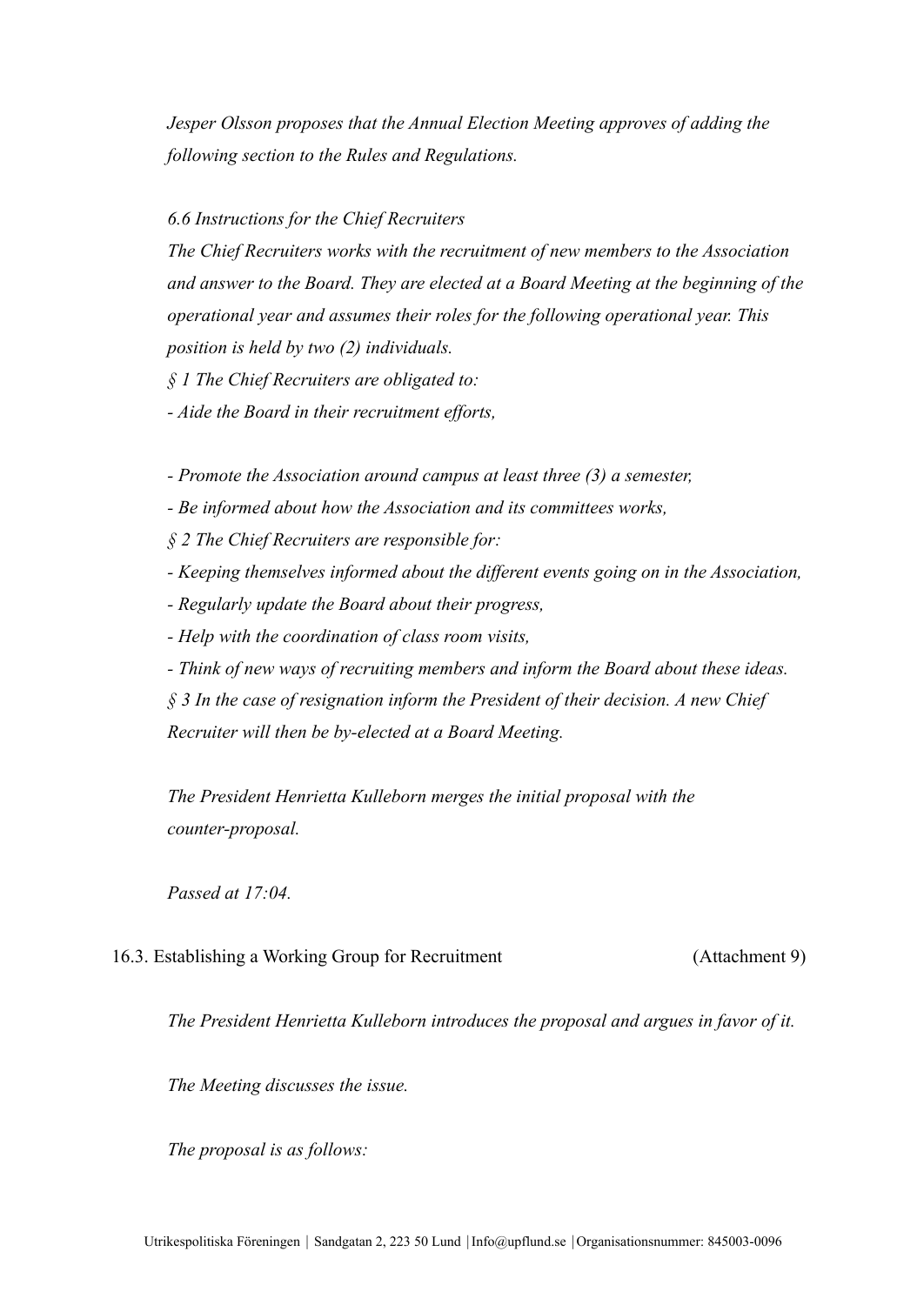*Jesper Olsson proposes that the Annual Election Meeting approves of adding the following section to the Rules and Regulations.*

#### *6.6 Instructions for the Chief Recruiters*

*The Chief Recruiters works with the recruitment of new members to the Association and answer to the Board. They are elected at a Board Meeting at the beginning of the operational year and assumes their roles for the following operational year. This position is held by two (2) individuals.*

*§ 1 The Chief Recruiters are obligated to:*

*- Aide the Board in their recruitment efforts,*

*- Promote the Association around campus at least three (3) a semester,*

*- Be informed about how the Association and its committees works,*

*§ 2 The Chief Recruiters are responsible for:*

*- Keeping themselves informed about the different events going on in the Association,*

*- Regularly update the Board about their progress,*

*- Help with the coordination of class room visits,*

*- Think of new ways of recruiting members and inform the Board about these ideas.*

*§ 3 In the case of resignation inform the President of their decision. A new Chief Recruiter will then be by-elected at a Board Meeting.*

*The President Henrietta Kulleborn merges the initial proposal with the counter-proposal.*

*Passed at 17:04.*

# 16.3. Establishing a Working Group for Recruitment (Attachment 9)

*The President Henrietta Kulleborn introduces the proposal and argues in favor of it.*

*The Meeting discusses the issue.*

*The proposal is as follows:*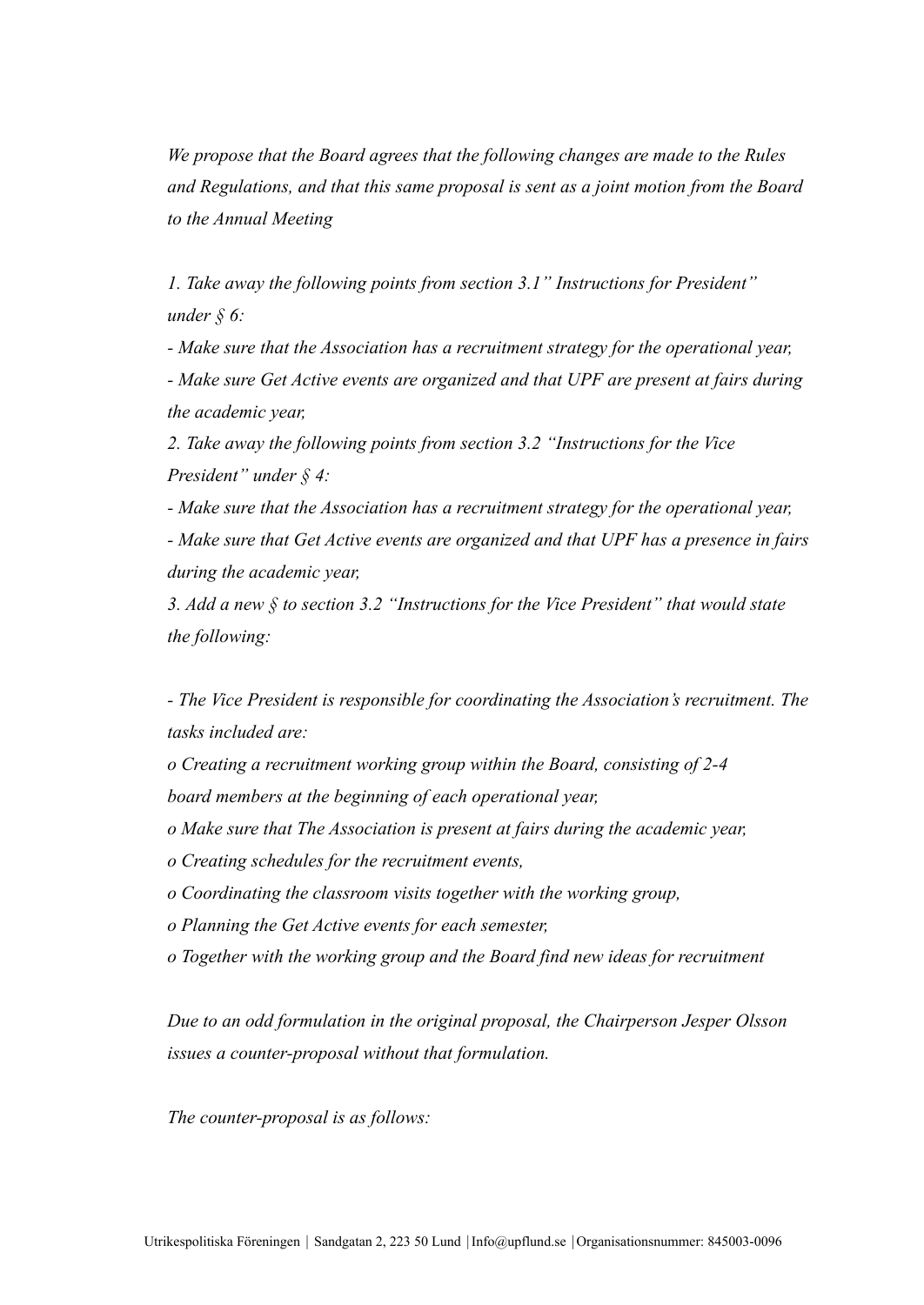*We propose that the Board agrees that the following changes are made to the Rules and Regulations, and that this same proposal is sent as a joint motion from the Board to the Annual Meeting*

*1. Take away the following points from section 3.1" Instructions for President" under § 6:*

*- Make sure that the Association has a recruitment strategy for the operational year, - Make sure Get Active events are organized and that UPF are present at fairs during the academic year,*

*2. Take away the following points from section 3.2 "Instructions for the Vice President" under § 4:*

*- Make sure that the Association has a recruitment strategy for the operational year, - Make sure that Get Active events are organized and that UPF has a presence in fairs*

*during the academic year,*

*3. Add a new § to section 3.2 "Instructions for the Vice President" that would state the following:*

*- The Vice President is responsible for coordinating the Association's recruitment. The tasks included are:*

*o Creating a recruitment working group within the Board, consisting of 2-4 board members at the beginning of each operational year,*

- *o Make sure that The Association is present at fairs during the academic year,*
- *o Creating schedules for the recruitment events,*
- *o Coordinating the classroom visits together with the working group,*
- *o Planning the Get Active events for each semester,*
- *o Together with the working group and the Board find new ideas for recruitment*

*Due to an odd formulation in the original proposal, the Chairperson Jesper Olsson issues a counter-proposal without that formulation.*

*The counter-proposal is as follows:*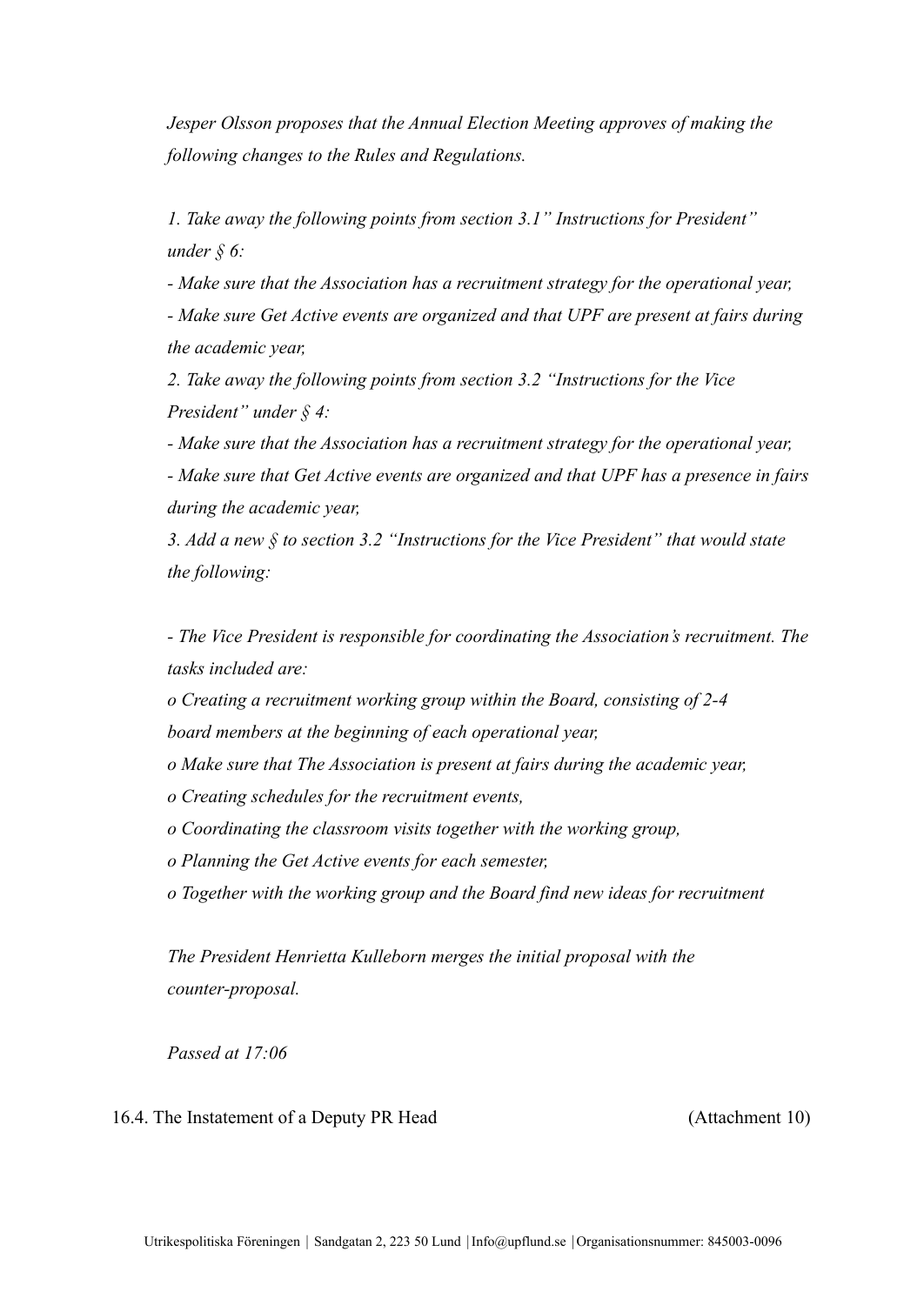*Jesper Olsson proposes that the Annual Election Meeting approves of making the following changes to the Rules and Regulations.*

*1. Take away the following points from section 3.1" Instructions for President" under § 6:*

*- Make sure that the Association has a recruitment strategy for the operational year, - Make sure Get Active events are organized and that UPF are present at fairs during the academic year,*

*2. Take away the following points from section 3.2 "Instructions for the Vice President" under § 4:*

*- Make sure that the Association has a recruitment strategy for the operational year, - Make sure that Get Active events are organized and that UPF has a presence in fairs during the academic year,*

*3. Add a new § to section 3.2 "Instructions for the Vice President" that would state the following:*

*- The Vice President is responsible for coordinating the Association's recruitment. The tasks included are:*

*o Creating a recruitment working group within the Board, consisting of 2-4 board members at the beginning of each operational year,*

*o Make sure that The Association is present at fairs during the academic year,*

*o Creating schedules for the recruitment events,*

*o Coordinating the classroom visits together with the working group,*

*o Planning the Get Active events for each semester,*

*o Together with the working group and the Board find new ideas for recruitment*

*The President Henrietta Kulleborn merges the initial proposal with the counter-proposal.*

*Passed at 17:06*

#### 16.4. The Instatement of a Deputy PR Head (Attachment 10)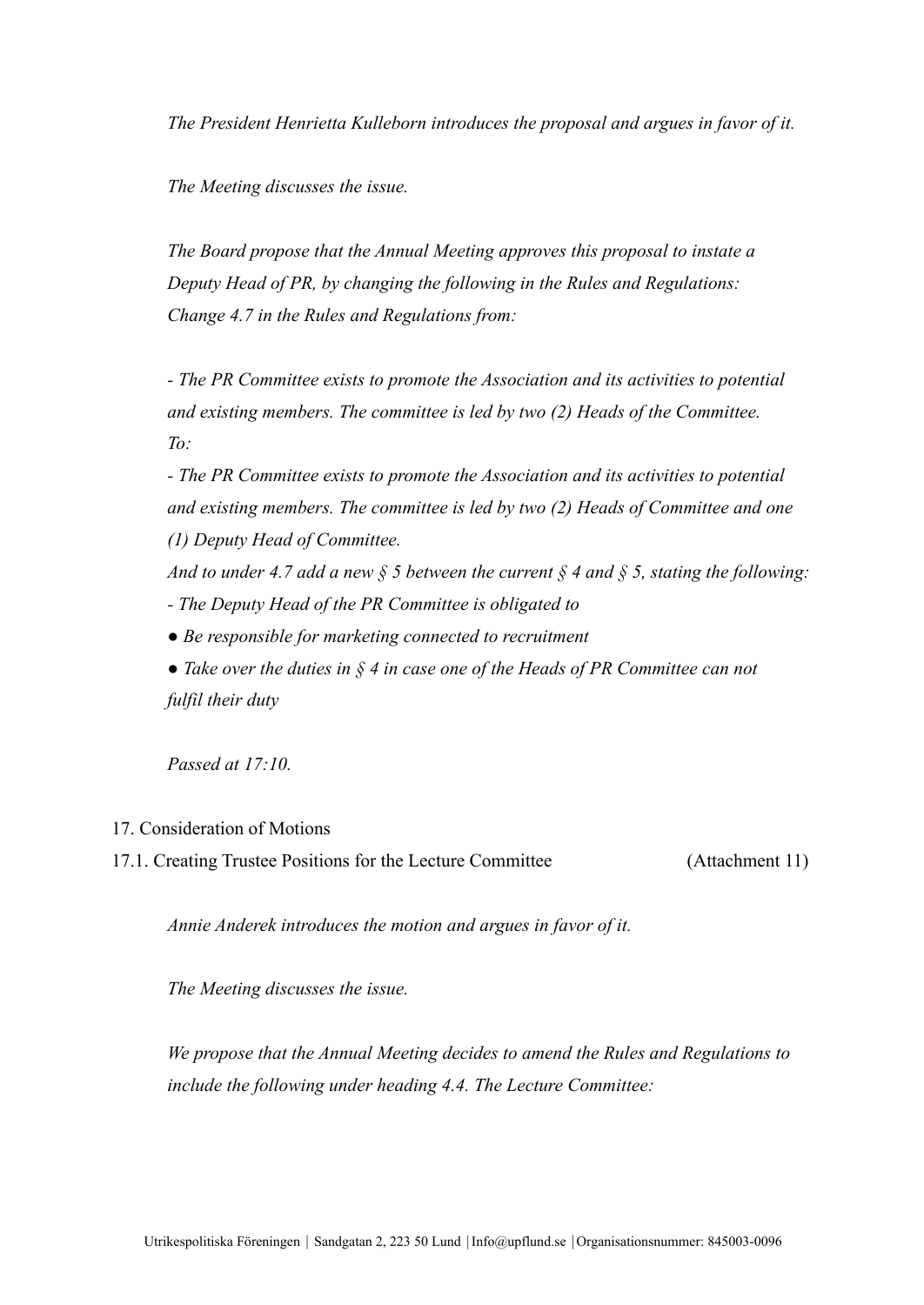*The President Henrietta Kulleborn introduces the proposal and argues in favor of it.*

*The Meeting discusses the issue.*

*The Board propose that the Annual Meeting approves this proposal to instate a Deputy Head of PR, by changing the following in the Rules and Regulations: Change 4.7 in the Rules and Regulations from:*

*- The PR Committee exists to promote the Association and its activities to potential and existing members. The committee is led by two (2) Heads of the Committee. To:*

*- The PR Committee exists to promote the Association and its activities to potential and existing members. The committee is led by two (2) Heads of Committee and one (1) Deputy Head of Committee.*

*And to under 4.7 add a new § 5 between the current § 4 and § 5, stating the following: - The Deputy Head of the PR Committee is obligated to*

- *Be responsible for marketing connected to recruitment*
- *Take over the duties in § 4 in case one of the Heads of PR Committee can not fulfil their duty*

*Passed at 17:10.*

#### 17. Consideration of Motions

17.1. Creating Trustee Positions for the Lecture Committee (Attachment 11)

*Annie Anderek introduces the motion and argues in favor of it.*

*The Meeting discusses the issue.*

*We propose that the Annual Meeting decides to amend the Rules and Regulations to include the following under heading 4.4. The Lecture Committee:*